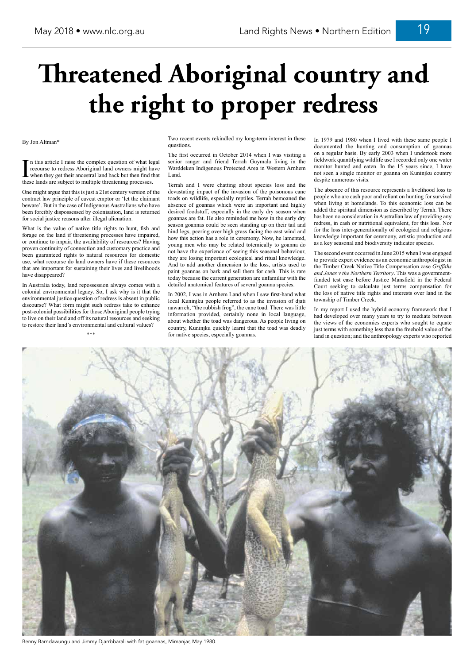## By Jon Altman\*

In this article I raise the complex question of what legal<br>recourse to redress Aboriginal land owners might have<br>when they get their ancestral land back but then find that<br>these lands are subject to multiple threatening pr recourse to redress Aboriginal land owners might have when they get their ancestral land back but then find that these lands are subject to multiple threatening processes.

One might argue that this is just a 21st century version of the contract law principle of caveat emptor or 'let the claimant beware'. But in the case of Indigenous Australians who have been forcibly dispossessed by colonisation, land is returned for social justice reasons after illegal alienation.

What is the value of native title rights to hunt, fish and forage on the land if threatening processes have impaired, or continue to impair, the availability of resources? Having proven continuity of connection and customary practice and been guaranteed rights to natural resources for domestic use, what recourse do land owners have if these resources that are important for sustaining their lives and livelihoods have disappeared?

In Australia today, land repossession always comes with a colonial environmental legacy. So, I ask why is it that the environmental justice question of redress is absent in public discourse? What form might such redress take to enhance post-colonial possibilities for those Aboriginal people trying to live on their land and off its natural resources and seeking to restore their land's environmental and cultural values?

\*\*\*

Two recent events rekindled my long-term interest in these questions.

The first occurred in October 2014 when I was visiting a senior ranger and friend Terrah Guymala living in the Warddeken Indigenous Protected Area in Western Arnhem Land.

Terrah and I were chatting about species loss and the devastating impact of the invasion of the poisonous cane toads on wildlife, especially reptiles. Terrah bemoaned the absence of goannas which were an important and highly desired foodstuff, especially in the early dry season when goannas are fat. He also reminded me how in the early dry season goannas could be seen standing up on their tail and hind legs, peering over high grass facing the east wind and how this action has a role in ceremony. Now, he lamented, young men who may be related totemically to goanna do not have the experience of seeing this seasonal behaviour, they are losing important ecological and ritual knowledge. And to add another dimension to the loss, artists used to paint goannas on bark and sell them for cash. This is rare today because the current generation are unfamiliar with the detailed anatomical features of several goanna species.

In 2002, I was in Arnhem Land when I saw first-hand what local Kuninjku people referred to as the invasion of djati nawarreh, "the rubbish frog", the cane toad. There was little information provided, certainly none in local language, about whether the toad was dangerous. As people living on country, Kuninjku quickly learnt that the toad was deadly for native species, especially goannas.

In 1979 and 1980 when I lived with these same people I documented the hunting and consumption of goannas on a regular basis. By early 2003 when I undertook more fieldwork quantifying wildlife use I recorded only one water monitor hunted and eaten. In the 15 years since, I have not seen a single monitor or goanna on Kuninjku country despite numerous visits.

The absence of this resource represents a livelihood loss to people who are cash poor and reliant on hunting for survival when living at homelands. To this economic loss can be added the spiritual dimension as described by Terrah. There has been no consideration in Australian law of providing any redress, in cash or nutritional equivalent, for this loss. Nor for the loss inter-generationally of ecological and religious knowledge important for ceremony, artistic production and as a key seasonal and biodiversity indicator species.

The second event occurred in June 2015 when I was engaged to provide expert evidence as an economic anthropologist in the Timber Creek Native Title Compensation case *Griffiths and Jones v the Northern Territory*. This was a governmentfunded test case before Justice Mansfield in the Federal Court seeking to calculate just terms compensation for the loss of native title rights and interests over land in the township of Timber Creek.

In my report I used the hybrid economy framework that I had developed over many years to try to mediate between the views of the economics experts who sought to equate just terms with something less than the freehold value of the land in question; and the anthropology experts who reported



## **Threatened Aboriginal country and the right to proper redress**

Benny Barndawungu and Jimmy Djarrbbarali with fat goannas, Mimanjar, May 1980.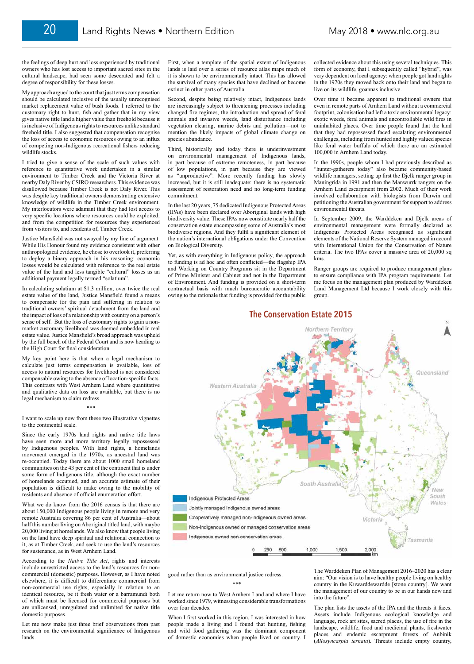First, when a template of the spatial extent of Indigenous lands is laid over a series of resource atlas maps much of it is shown to be environmentally intact. This has allowed the survival of many species that have declined or become extinct in other parts of Australia.

Second, despite being relatively intact, Indigenous lands are increasingly subject to threatening processes including changed fire regimes, the introduction and spread of feral animals and invasive weeds, land disturbance including vegetation clearing, marine debris and pollution—not to mention the likely impacts of global climate change on species abundance.

Third, historically and today there is underinvestment on environmental management of Indigenous lands, in part because of extreme remoteness, in part because of low populations, in part because they are viewed as "unproductive". More recently funding has slowly increased, but it is still inadequate: there is no systematic assessment of restoration need and no long-term funding commitment.

In the last 20 years, 75 dedicated Indigenous Protected Areas (IPAs) have been declared over Aboriginal lands with high biodiversity value. These IPAs now constitute nearly half the conservation estate encompassing some of Australia's most biodiverse regions. And they fulfil a significant element of the nation's international obligations under the Convention on Biological Diversity.

Yet, as with everything in Indigenous policy, the approach to funding is ad hoc and often conflicted—the flagship IPA and Working on Country Programs sit in the Department of Prime Minister and Cabinet and not in the Department of Environment. And funding is provided on a short-term contractual basis with much bureaucratic accountability owing to the rationale that funding is provided for the public

good rather than as environmental justice redress.

\*\*\*

Let me return now to West Arnhem Land and where I have worked since 1979, witnessing considerable transformations over four decades.

When I first worked in this region, I was interested in how people made a living and I found that hunting, fishing and wild food gathering was the dominant component of domestic economies when people lived on country. I collected evidence about this using several techniques. This form of economy, that I subsequently called "hybrid", was very dependent on local agency: when people got land rights in the 1970s they moved back onto their land and began to live on its wildlife, goannas inclusive.

Over time it became apparent to traditional owners that even in remote parts of Arnhem Land without a commercial footprint, colonisation had left a toxic environmental legacy: exotic weeds, feral animals and uncontrollable wild fires in uninhabited places. Over time people found that the land that they had repossessed faced escalating environmental challenges, including from hunted and highly valued species like feral water buffalo of which there are an estimated 100,000 in Arnhem Land today.

In the 1990s, people whom I had previously described as "hunter-gatherers today" also became community-based wildlife managers, setting up first the Djelk ranger group in Maningrida in 1991 and then the Manwurrk rangers on the Arnhem Land escarpment from 2002. Much of their work involved collaboration with biologists from Darwin and petitioning the Australian government for support to address environmental threats.

In September 2009, the Warddeken and Djelk areas of environmental management were formally declared as Indigenous Protected Areas recognised as significant elements of the National Reserve System managed in accord with International Union for the Conservation of Nature criteria. The two IPAs cover a massive area of 20,000 sq kms.

Ranger groups are required to produce management plans to ensure compliance with IPA program requirements. Let me focus on the management plan produced by Warddeken Land Management Ltd because I work closely with this group.

The Warddeken Plan of Management 2016–2020 has a clear aim: "Our vision is to have healthy people living on healthy country in the Kuwarddewardde [stone country]. We want the management of our country to be in our hands now and into the future".

The plan lists the assets of the IPA and the threats it faces. Assets include Indigenous ecological knowledge and language, rock art sites, sacred places, the use of fire in the landscape, wildlife, food and medicinal plants, freshwater places and endemic escarpment forests of Anbinik (*Allosyncarpia ternata*). Threats include empty country,

the feelings of deep hurt and loss experienced by traditional owners who has lost access to important sacred sites in the cultural landscape, had seen some desecrated and felt a degree of responsibility for these losses.

My approach argued to the court that just terms compensation should be calculated inclusive of the usually unrecognised market replacement value of bush foods. I referred to the customary right to hunt, fish and gather that in my view gives native title land a higher value than freehold because it is inclusive of Indigenous rights to resources unlike standard freehold title. I also suggested that compensation recognise the loss of access to economic resources owing to an influx of competing non-Indigenous recreational fishers reducing wildlife stocks.

I tried to give a sense of the scale of such values with reference to quantitative work undertaken in a similar environment to Timber Creek and the Victoria River at nearby Daly River by CSIRO researchers. This evidence was disallowed because Timber Creek is not Daly River. This was despite key traditional owners demonstrating extensive knowledge of wildlife in the Timber Creek environment. My interlocutors were adamant that they had lost access to very specific locations where resources could be exploited; and from the competition for resources they experienced from visitors to, and residents of, Timber Creek.

Justice Mansfield was not swayed by my line of argument. While His Honour found my evidence consistent with other anthropological evidence, he chose to overlook it, preferring to deploy a binary approach in his reasoning: economic losses would be calculated with reference to the real estate value of the land and less tangible "cultural" losses as an additional payment legally termed "solatium".

In calculating solatium at \$1.3 million, over twice the real estate value of the land, Justice Mansfield found a means to compensate for the pain and suffering in relation to traditional owners' spiritual detachment from the land and the impact of loss of a relationship with country on a person's sense of self. But the loss of customary rights to gain a nonmarket customary livelihood was deemed embedded in real estate value. Justice Mansfield's broad approach was upheld by the full bench of the Federal Court and is now heading to the High Court for final consideration.

My key point here is that when a legal mechanism to calculate just terms compensation is available, loss of access to natural resources for livelihood is not considered compensable owing to the absence of location-specific facts. This contrasts with West Arnhem Land where quantitative and qualitative data on loss are available, but there is no legal mechanism to claim redress.

## \*\*\*

I want to scale up now from these two illustrative vignettes to the continental scale.

Since the early 1970s land rights and native title laws have seen more and more territory legally repossessed by Indigenous peoples. With land rights, a homelands movement emerged in the 1970s, as ancestral land was re-occupied. Today there are about 1000 small homeland communities on the 43 per cent of the continent that is under some form of Indigenous title, although the exact number of homelands occupied, and an accurate estimate of their population is difficult to make owing to the mobility of residents and absence of official enumeration effort.

What we do know from the 2016 census is that there are about 150,000 Indigenous people living in remote and very remote Australia covering 86 per cent of Australia—about half this number living on Aboriginal titled land, with maybe 20,000 living at homelands. We also know that people living on the land have deep spiritual and relational connection to it, as at Timber Creek, and seek to use the land's resources for sustenance, as in West Arnhem Land.

According to the *Native Title Act*, rights and interests include unrestricted access to the land's resources for noncommercial (domestic) purposes. However, as I have noted elsewhere, it is difficult to differentiate commercial from non-commercial use rights, especially in relation to an identical resource, be it fresh water or a barramundi both of which must be licensed for commercial purposes but are unlicensed, unregulated and unlimited for native title domestic purposes.

Let me now make just three brief observations from past research on the environmental significance of Indigenous lands.

## **The Conservation Estate 2015**